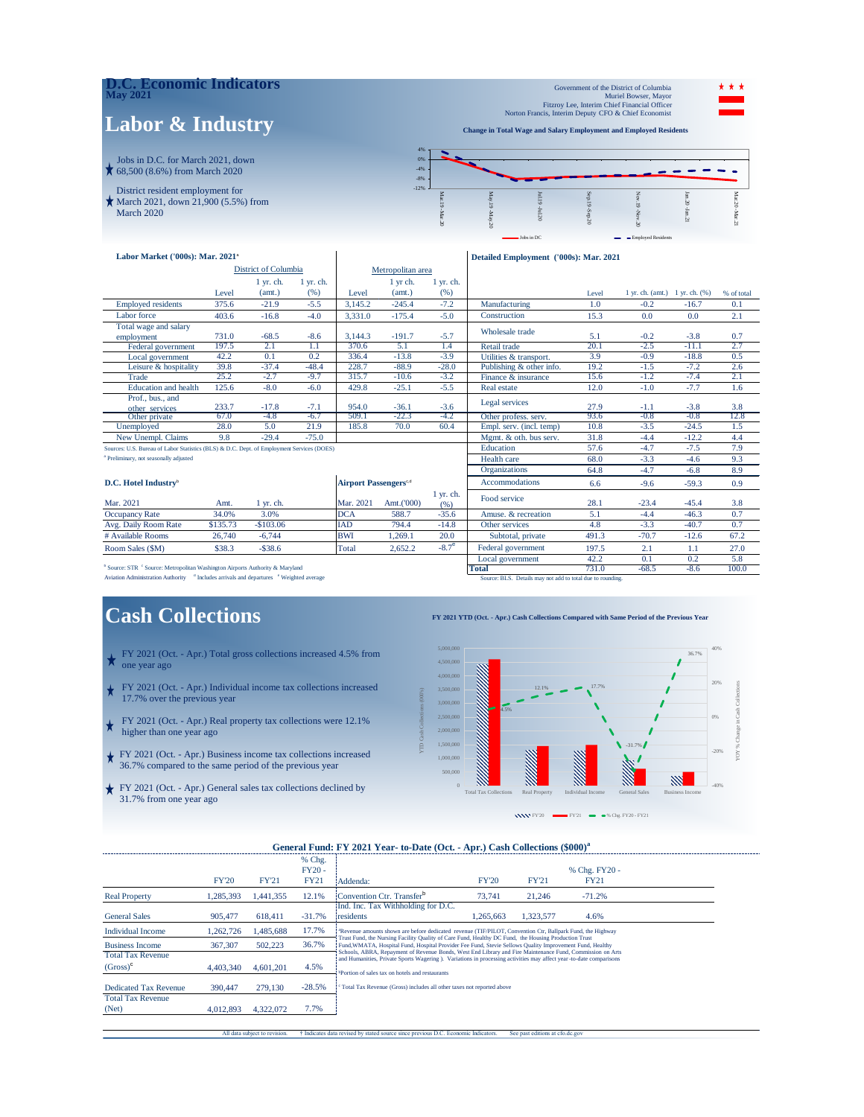

| Labor Market ('000s): Mar. 2021 <sup>a</sup>                                              |          |             |                                          |            |            |                       | Detailed Employment ('000s): Mar. 2021 |        |                                    |         |            |
|-------------------------------------------------------------------------------------------|----------|-------------|------------------------------------------|------------|------------|-----------------------|----------------------------------------|--------|------------------------------------|---------|------------|
| <b>District of Columbia</b>                                                               |          |             | Metropolitan area                        |            |            |                       |                                        |        |                                    |         |            |
|                                                                                           |          | $1$ yr. ch. | $1$ yr. ch.                              |            | 1 yr ch.   | $1$ yr. ch.           |                                        |        |                                    |         |            |
|                                                                                           | Level    | (amt.)      | (96)                                     | Level      | (amt.)     | (% )                  |                                        | Level  | $1$ yr. ch. (amt.) $1$ yr. ch. (%) |         | % of total |
| <b>Employed residents</b>                                                                 | 375.6    | $-21.9$     | $-5.5$                                   | 3.145.2    | $-245.4$   | $-7.2$                | Manufacturing<br>1.0<br>$-0.2$         |        |                                    | $-16.7$ | 0.1        |
| Labor force                                                                               | 403.6    | $-16.8$     | $-4.0$                                   | 3.331.0    | $-175.4$   | $-5.0$                | Construction                           | 15.3   | 0.0                                | 0.0     | 2.1        |
| Total wage and salary                                                                     |          |             |                                          |            |            |                       | Wholesale trade                        |        |                                    |         |            |
| employment                                                                                | 731.0    | $-68.5$     | $-8.6$                                   | 3,144.3    | $-191.7$   | $-5.7$                |                                        | 5.1    | $-0.2$                             | $-3.8$  | 0.7        |
| Federal government                                                                        | 197.5    | 2.1         | 1.1                                      | 370.6      | 5.1        | 1.4                   | Retail trade                           | 20.1   | $-2.5$                             | $-11.1$ | 2.7        |
| Local government                                                                          | 42.2     | 0.1         | 0.2                                      | 336.4      | $-13.8$    | $-3.9$                | Utilities & transport.                 | 3.9    | $-0.9$                             | $-18.8$ | 0.5        |
| Leisure & hospitality                                                                     | 39.8     | $-37.4$     | $-48.4$                                  | 228.7      | $-88.9$    | $-28.0$               | Publishing & other info.               | 19.2   | $-1.5$                             | $-7.2$  | 2.6        |
| Trade                                                                                     | 25.2     | $-2.7$      | $-9.7$                                   | 315.7      | $-10.6$    | $-3.2$                | Finance & insurance                    | 15.6   | $-1.2$                             | $-7.4$  | 2.1        |
| <b>Education</b> and health                                                               | 125.6    | $-8.0$      | $-6.0$                                   | 429.8      | $-25.1$    | $-5.5$                | Real estate                            | 12.0   | $-1.0$                             | $-7.7$  | 1.6        |
| Prof., bus., and                                                                          |          |             |                                          |            |            |                       | Legal services                         |        |                                    |         |            |
| other services                                                                            | 233.7    | $-17.8$     | $-7.1$                                   | 954.0      | $-36.1$    | $-3.6$                |                                        | 27.9   | $-1.1$                             | $-3.8$  | 3.8        |
| Other private                                                                             | 67.0     | $-4.8$      | $-6.7$                                   | 509.1      | $-22.3$    | $-4.2$                | Other profess, serv.                   | 93.6   | $-0.8$                             | $-0.8$  | 12.8       |
| Unemployed                                                                                | 28.0     | 5.0         | 21.9                                     | 185.8      | 70.0       | 60.4                  | Empl. serv. (incl. temp)               | 10.8   | $-3.5$                             | $-24.5$ | 1.5        |
| New Unempl. Claims                                                                        | 9.8      | $-29.4$     | $-75.0$                                  |            |            |                       | Mgmt. & oth. bus serv.                 | 31.8   | $-4.4$                             | $-12.2$ | 4.4        |
| Sources: U.S. Bureau of Labor Statistics (BLS) & D.C. Dept. of Employment Services (DOES) |          |             |                                          |            |            |                       | Education                              | 57.6   | $-4.7$                             | $-7.5$  | 7.9        |
| <sup>a</sup> Preliminary, not seasonally adjusted                                         |          |             |                                          |            |            |                       | Health care                            | 68.0   | $-3.3$                             | $-4.6$  | 9.3        |
|                                                                                           |          |             |                                          |            |            |                       | <b>Organizations</b>                   | 64.8   | $-4.7$                             | $-6.8$  | 8.9        |
| D.C. Hotel Industry <sup>b</sup>                                                          |          |             | <b>Airport Passengers</b> <sup>c.d</sup> |            |            | <b>Accommodations</b> | 6.6                                    | $-9.6$ | $-59.3$                            | 0.9     |            |
|                                                                                           |          |             |                                          |            |            | $1$ yr. ch.           |                                        |        |                                    |         |            |
| Mar. 2021                                                                                 | Amt.     | 1 yr. ch.   |                                          | Mar. 2021  | Amt.('000) | (96)                  | Food service                           | 28.1   | $-23.4$                            | $-45.4$ | 3.8        |
| <b>Occupancy Rate</b>                                                                     | 34.0%    | 3.0%        |                                          | <b>DCA</b> | 588.7      | $-35.6$               | Amuse, & recreation                    | 5.1    | $-4.4$                             | $-46.3$ | 0.7        |
| Avg. Daily Room Rate                                                                      | \$135.73 | $-$103.06$  |                                          | <b>IAD</b> | 794.4      | $-14.8$               | $-3.3$<br>4.8<br>Other services        |        | $-40.7$                            | 0.7     |            |
| # Available Rooms                                                                         | 26,740   | $-6,744$    |                                          | <b>BWI</b> | 1.269.1    | 20.0                  | Subtotal, private                      | 491.3  | $-70.7$                            | $-12.6$ | 67.2       |
| Room Sales (\$M)                                                                          | \$38.3   | $-$ \$38.6  |                                          | Total      | 2,652.2    | $-8.7^{\circ}$        | Federal government                     | 197.5  | 2.1                                | 1.1     | 27.0       |
|                                                                                           |          |             |                                          |            |            |                       | Local government                       | 42.2   | 0.1                                | 0.2     | 5.8        |

Nource: STR C Source: Metropolitan Washington Airports Authority & Maryland **Includes arrivals and departures** C Weighted average **Total 100.0 Total 100.0** Source: BLS. Details may not add to total due to rounding. -68.5

### **Cash Collections**

- FY 2021 (Oct. Apr.) Total gross collections increased 4.5% from one year ago
- FY 2021 (Oct. Apr.) Individual income tax collections increased 17.7% over the previous year
- FY 2021 (Oct. Apr.) Real property tax collections were 12.1% higher than one year ago
- FY 2021 (Oct. Apr.) Business income tax collections increased 36.7% compared to the same period of the previous year
- FY 2021 (Oct. Apr.) General sales tax collections declined by 31.7% from one year ago

BLS. Details may not add to total due to r

#### **FY 2021 YTD (Oct. - Apr.) Cash Collections Compared with Same Period of the Previous Year**



### **General Fund: FY 2021 Year- to-Date (Oct. - Apr.) Cash Collections (\$000)<sup>a</sup>**

|                              |              |              | % Chg.      |                                                                                                                    |                                                                                                                                                                                                                                                                                                                               |              |               |  |  |  |  |  |  |
|------------------------------|--------------|--------------|-------------|--------------------------------------------------------------------------------------------------------------------|-------------------------------------------------------------------------------------------------------------------------------------------------------------------------------------------------------------------------------------------------------------------------------------------------------------------------------|--------------|---------------|--|--|--|--|--|--|
|                              |              |              | $FY20 -$    |                                                                                                                    |                                                                                                                                                                                                                                                                                                                               |              | % Chg. FY20 - |  |  |  |  |  |  |
|                              | <b>FY'20</b> | <b>FY'21</b> | <b>FY21</b> | Addenda:                                                                                                           | <b>FY'20</b>                                                                                                                                                                                                                                                                                                                  | <b>FY'21</b> | <b>FY21</b>   |  |  |  |  |  |  |
| <b>Real Property</b>         | 1.285.393    | 1.441.355    | 12.1%       | Convention Ctr. Transfer <sup>b</sup>                                                                              | 73.741                                                                                                                                                                                                                                                                                                                        | 21.246       | $-71.2%$      |  |  |  |  |  |  |
|                              |              |              |             | Ind. Inc. Tax Withholding for D.C.                                                                                 |                                                                                                                                                                                                                                                                                                                               |              |               |  |  |  |  |  |  |
| <b>General Sales</b>         | 905,477      | 618,411      | $-31.7%$    | residents                                                                                                          | 1.265.663                                                                                                                                                                                                                                                                                                                     | 1.323.577    | 4.6%          |  |  |  |  |  |  |
| <b>Individual Income</b>     | 1.262.726    | .485.688     | 17.7%       |                                                                                                                    | <sup>a</sup> Revenue amounts shown are before dedicated revenue (TIF/PILOT, Convention Ctr, Ballpark Fund, the Highway                                                                                                                                                                                                        |              |               |  |  |  |  |  |  |
| <b>Business Income</b>       | 367,307      | 502.223      | 36.7%       |                                                                                                                    | Trust Fund, the Nursing Facility Quality of Care Fund, Healthy DC Fund, the Housing Production Trust<br>Fund, WMATA, Hospital Fund, Hospital Provider Fee Fund, Stevie Sellows Quality Improvement Fund, Healthy<br>Schools, ABRA, Repayment of Revenue Bonds, West End Library and Fire Maintenance Fund, Commission on Arts |              |               |  |  |  |  |  |  |
| <b>Total Tax Revenue</b>     |              |              |             | and Humanities, Private Sports Wagering ). Variations in processing activities may affect year-to-date comparisons |                                                                                                                                                                                                                                                                                                                               |              |               |  |  |  |  |  |  |
| $(Gross)^c$                  | 4.403.340    | 4.601.201    | 4.5%        | Portion of sales tax on hotels and restaurants                                                                     |                                                                                                                                                                                                                                                                                                                               |              |               |  |  |  |  |  |  |
| <b>Dedicated Tax Revenue</b> | 390,447      | 279.130      | $-28.5%$    | <sup>c</sup> Total Tax Revenue (Gross) includes all other taxes not reported above                                 |                                                                                                                                                                                                                                                                                                                               |              |               |  |  |  |  |  |  |
| <b>Total Tax Revenue</b>     |              |              |             |                                                                                                                    |                                                                                                                                                                                                                                                                                                                               |              |               |  |  |  |  |  |  |
| (Net)                        | 4.012.893    | 4.322.072    | 7.7%        |                                                                                                                    |                                                                                                                                                                                                                                                                                                                               |              |               |  |  |  |  |  |  |